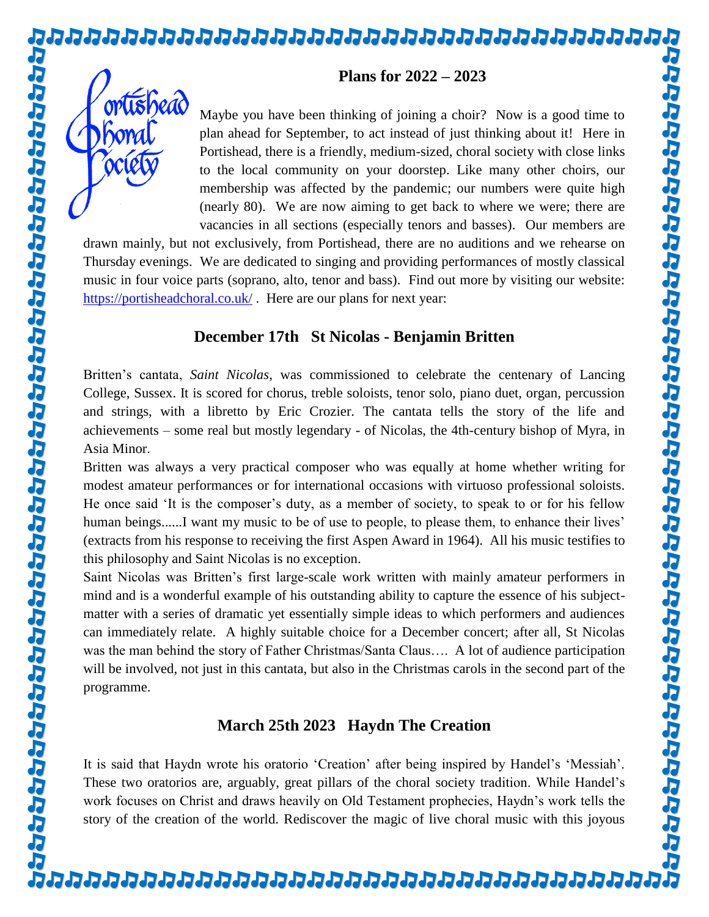ortishead

horal

ocle

## **Plans for 2022 – 2023**

Maybe you have been thinking of joining a choir? Now is a good time to plan ahead for September, to act instead of just thinking about it! Here in Portishead, there is a friendly, medium-sized, choral society with close links to the local community on your doorstep. Like many other choirs, our membership was affected by the pandemic; our numbers were quite high (nearly 80). We are now aiming to get back to where we were; there are vacancies in all sections (especially tenors and basses). Our members are

drawn mainly, but not exclusively, from Portishead, there are no auditions and we rehearse on Thursday evenings. We are dedicated to singing and providing performances of mostly classical music in four voice parts (soprano, alto, tenor and bass). Find out more by visiting our website: <https://portisheadchoral.co.uk/>. Here are our plans for next year:

## **December 17th St Nicolas - Benjamin Britten**

Britten's cantata, *Saint Nicolas*, was commissioned to celebrate the centenary of Lancing College, Sussex. It is scored for chorus, treble soloists, tenor solo, piano duet, organ, percussion and strings, with a libretto by Eric Crozier. The cantata tells the story of the life and achievements – some real but mostly legendary - of Nicolas, the 4th-century bishop of Myra, in Asia Minor.

Britten was always a very practical composer who was equally at home whether writing for modest amateur performances or for international occasions with virtuoso professional soloists. He once said 'It is the composer's duty, as a member of society, to speak to or for his fellow human beings......I want my music to be of use to people, to please them, to enhance their lives' (extracts from his response to receiving the first Aspen Award in 1964). All his music testifies to this philosophy and Saint Nicolas is no exception.

Saint Nicolas was Britten's first large-scale work written with mainly amateur performers in mind and is a wonderful example of his outstanding ability to capture the essence of his subjectmatter with a series of dramatic yet essentially simple ideas to which performers and audiences can immediately relate. A highly suitable choice for a December concert; after all, St Nicolas was the man behind the story of Father Christmas/Santa Claus…. A lot of audience participation will be involved, not just in this cantata, but also in the Christmas carols in the second part of the programme.

## **March 25th 2023 Haydn The Creation**

It is said that Haydn wrote his oratorio 'Creation' after being inspired by Handel's 'Messiah'. These two oratorios are, arguably, great pillars of the choral society tradition. While Handel's work focuses on Christ and draws heavily on Old Testament prophecies, Haydn's work tells the story of the creation of the world. Rediscover the magic of live choral music with this joyous